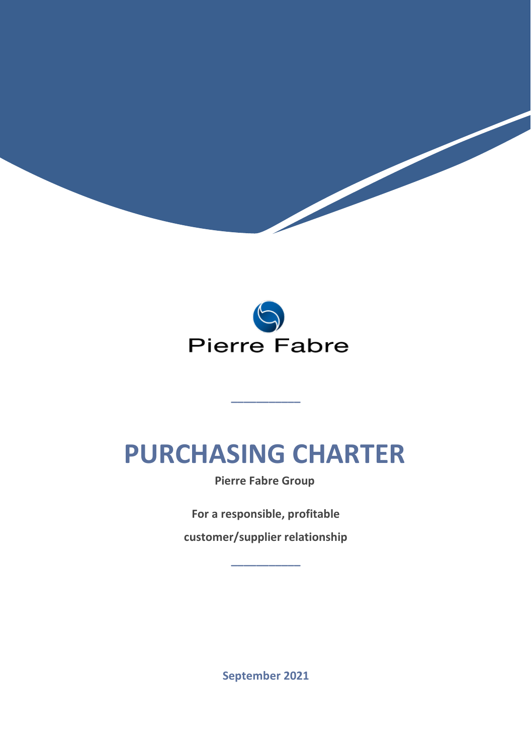

 $\blacktriangleright$ 

### **PURCHASING CHARTER**

**\_\_\_\_\_\_\_\_\_\_\_**

**Pierre Fabre Group**

**For a responsible, profitable** 

**customer/supplier relationship \_\_\_\_\_\_\_\_\_\_\_**

**September 2021**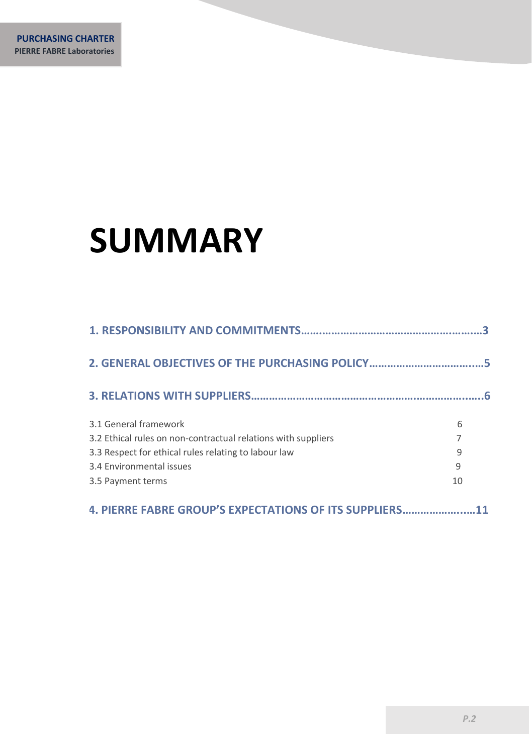# **SUMMARY**

|                                                               | ર  |
|---------------------------------------------------------------|----|
| 2. GENERAL OBJECTIVES OF THE PURCHASING POLICY                | 5  |
|                                                               | 6  |
| 3.1 General framework                                         | 6  |
| 3.2 Ethical rules on non-contractual relations with suppliers |    |
| 3.3 Respect for ethical rules relating to labour law          | 9  |
| 3.4 Environmental issues                                      | 9  |
| 3.5 Payment terms                                             | 10 |
| 4. PIERRE FABRE GROUP'S EXPECTATIONS OF ITS SUPPLIERS         |    |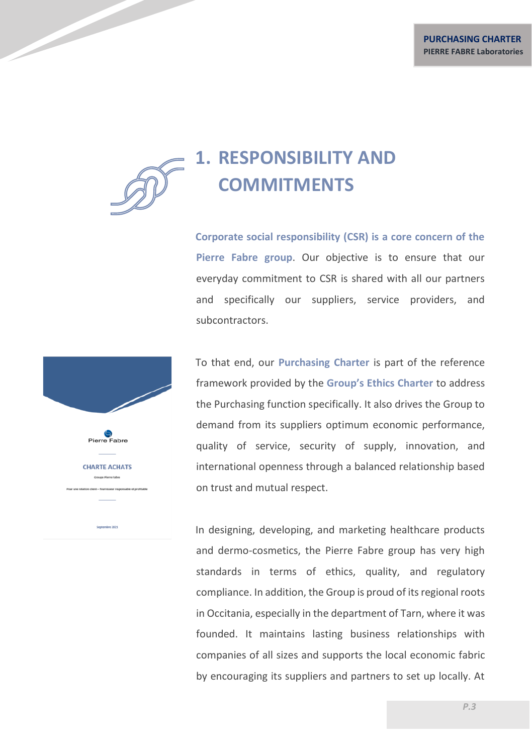

**Corporate social responsibility (CSR) is a core concern of the Pierre Fabre group**. Our objective is to ensure that our everyday commitment to CSR is shared with all our partners and specifically our suppliers, service providers, and subcontractors.

Pierre Fabre **CHARTE ACHATS** Crouse Kerra Fabre

To that end, our **Purchasing Charter** is part of the reference framework provided by the **Group's Ethics Charter** to address the Purchasing function specifically. It also drives the Group to demand from its suppliers optimum economic performance, quality of service, security of supply, innovation, and international openness through a balanced relationship based on trust and mutual respect.

In designing, developing, and marketing healthcare products and dermo-cosmetics, the Pierre Fabre group has very high standards in terms of ethics, quality, and regulatory compliance. In addition, the Group is proud of its regional roots in Occitania, especially in the department of Tarn, where it was founded. It maintains lasting business relationships with companies of all sizes and supports the local economic fabric by encouraging its suppliers and partners to set up locally. At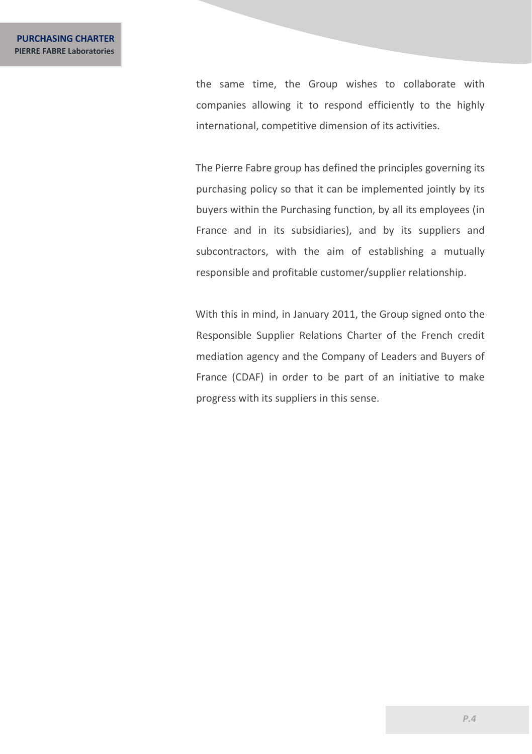the same time, the Group wishes to collaborate with companies allowing it to respond efficiently to the highly international, competitive dimension of its activities.

The Pierre Fabre group has defined the principles governing its purchasing policy so that it can be implemented jointly by its buyers within the Purchasing function, by all its employees (in France and in its subsidiaries), and by its suppliers and subcontractors, with the aim of establishing a mutually responsible and profitable customer/supplier relationship.

With this in mind, in January 2011, the Group signed onto the Responsible Supplier Relations Charter of the French credit mediation agency and the Company of Leaders and Buyers of France (CDAF) in order to be part of an initiative to make progress with its suppliers in this sense.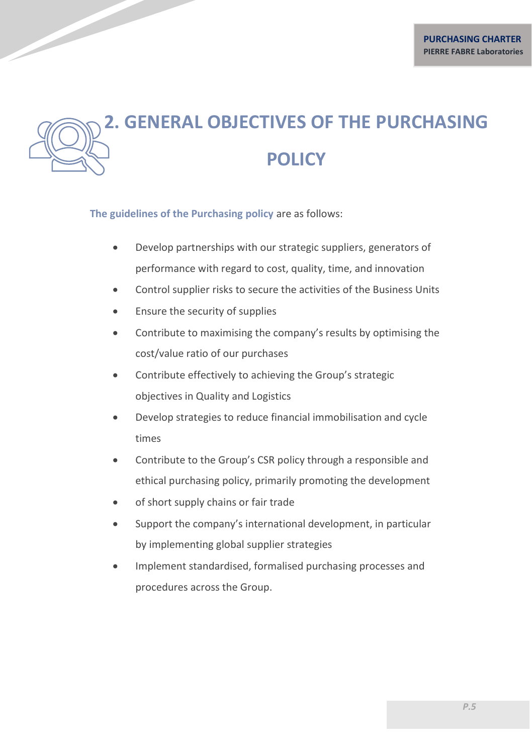## **2. GENERAL OBJECTIVES OF THE PURCHASING POLICY**

**The guidelines of the Purchasing policy** are as follows:

- Develop partnerships with our strategic suppliers, generators of performance with regard to cost, quality, time, and innovation
- Control supplier risks to secure the activities of the Business Units
- Ensure the security of supplies
- Contribute to maximising the company's results by optimising the cost/value ratio of our purchases
- Contribute effectively to achieving the Group's strategic objectives in Quality and Logistics
- Develop strategies to reduce financial immobilisation and cycle times
- Contribute to the Group's CSR policy through a responsible and ethical purchasing policy, primarily promoting the development
- of short supply chains or fair trade
- Support the company's international development, in particular by implementing global supplier strategies
- Implement standardised, formalised purchasing processes and procedures across the Group.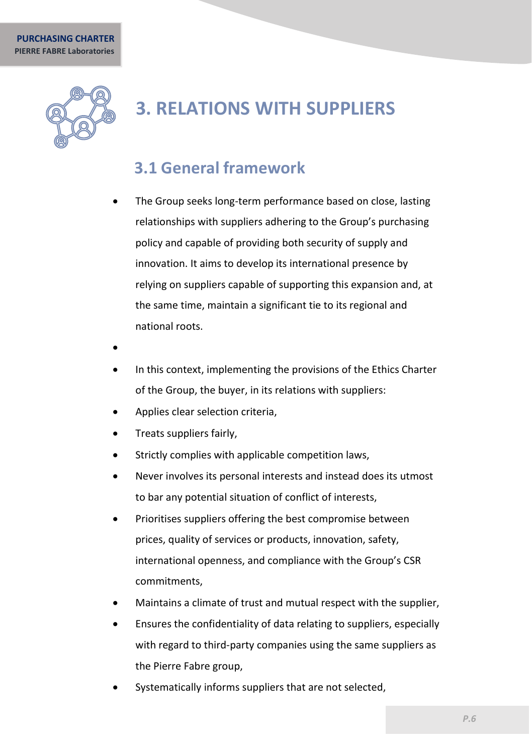

### **3. RELATIONS WITH SUPPLIERS**

#### **3.1 General framework**

- <span id="page-5-0"></span>The Group seeks long-term performance based on close, lasting relationships with suppliers adhering to the Group's purchasing policy and capable of providing both security of supply and innovation. It aims to develop its international presence by relying on suppliers capable of supporting this expansion and, at the same time, maintain a significant tie to its regional and national roots.
- •
- In this context, implementing the provisions of the Ethics Charter of the Group, the buyer, in its relations with suppliers:
- Applies clear selection criteria,
- Treats suppliers fairly,
- Strictly complies with applicable competition laws,
- Never involves its personal interests and instead does its utmost to bar any potential situation of conflict of interests,
- Prioritises suppliers offering the best compromise between prices, quality of services or products, innovation, safety, international openness, and compliance with the Group's CSR commitments,
- Maintains a climate of trust and mutual respect with the supplier,
- Ensures the confidentiality of data relating to suppliers, especially with regard to third-party companies using the same suppliers as the Pierre Fabre group,
- Systematically informs suppliers that are not selected,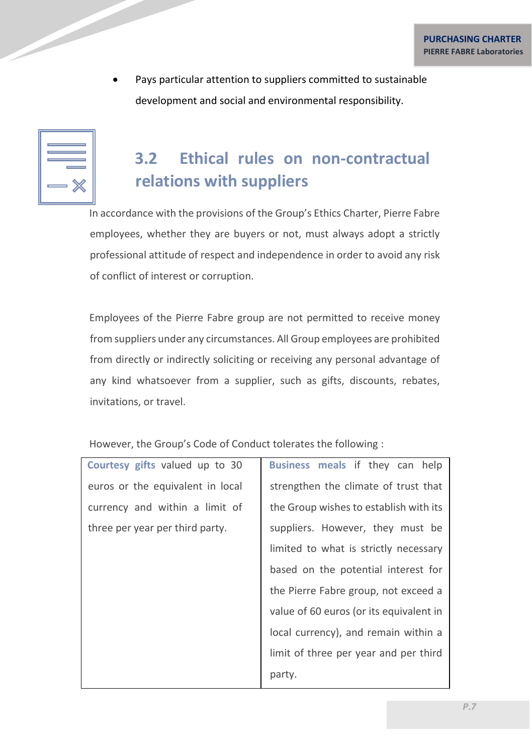Pays particular attention to suppliers committed to sustainable development and social and environmental responsibility.

<span id="page-6-0"></span>

| Е       |
|---------|
| --<br>۳ |
|         |

#### **3.2 Ethical rules on non-contractual relations with suppliers**

In accordance with the provisions of the Group's Ethics Charter, Pierre Fabre employees, whether they are buyers or not, must always adopt a strictly professional attitude of respect and independence in order to avoid any risk of conflict of interest or corruption.

Employees of the Pierre Fabre group are not permitted to receive money from suppliers under any circumstances. All Group employees are prohibited from directly or indirectly soliciting or receiving any personal advantage of any kind whatsoever from a supplier, such as gifts, discounts, rebates, invitations, or travel.

However, the Group's Code of Conduct tolerates the following :

| Courtesy gifts valued up to 30   | Business meals if they can help         |  |
|----------------------------------|-----------------------------------------|--|
| euros or the equivalent in local | strengthen the climate of trust that    |  |
| currency and within a limit of   | the Group wishes to establish with its  |  |
| three per year per third party.  | suppliers. However, they must be        |  |
|                                  | limited to what is strictly necessary   |  |
|                                  | based on the potential interest for     |  |
|                                  | the Pierre Fabre group, not exceed a    |  |
|                                  | value of 60 euros (or its equivalent in |  |
|                                  | local currency), and remain within a    |  |
|                                  | limit of three per year and per third   |  |
|                                  | party.                                  |  |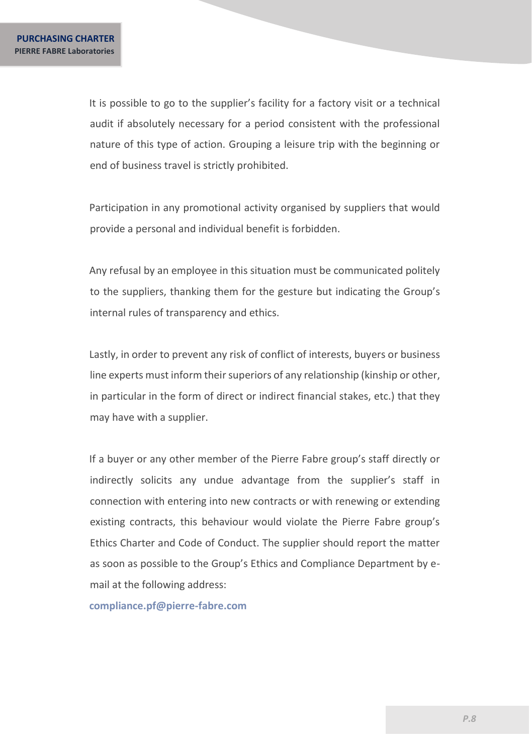It is possible to go to the supplier's facility for a factory visit or a technical audit if absolutely necessary for a period consistent with the professional nature of this type of action. Grouping a leisure trip with the beginning or end of business travel is strictly prohibited.

Participation in any promotional activity organised by suppliers that would provide a personal and individual benefit is forbidden.

Any refusal by an employee in this situation must be communicated politely to the suppliers, thanking them for the gesture but indicating the Group's internal rules of transparency and ethics.

Lastly, in order to prevent any risk of conflict of interests, buyers or business line experts must inform their superiors of any relationship (kinship or other, in particular in the form of direct or indirect financial stakes, etc.) that they may have with a supplier.

If a buyer or any other member of the Pierre Fabre group's staff directly or indirectly solicits any undue advantage from the supplier's staff in connection with entering into new contracts or with renewing or extending existing contracts, this behaviour would violate the Pierre Fabre group's Ethics Charter and Code of Conduct. The supplier should report the matter as soon as possible to the Group's Ethics and Compliance Department by email at the following address:

**compliance.pf@pierre-fabre.com**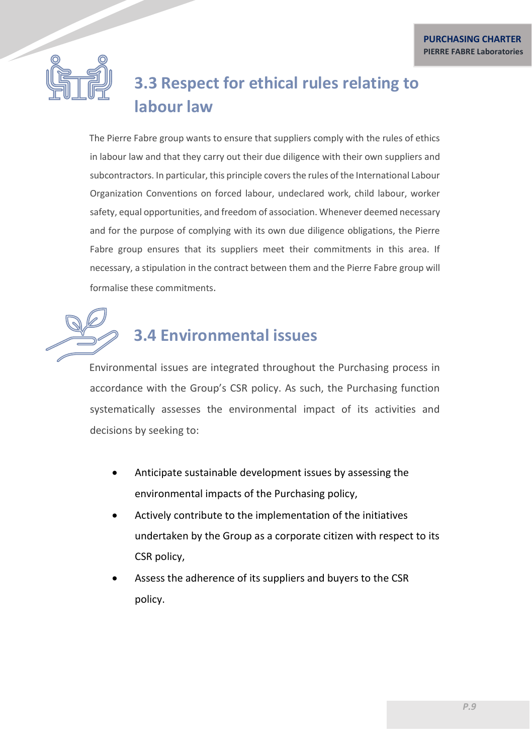

### <span id="page-8-0"></span>**3.3 Respect for ethical rules relating to labour law**

The Pierre Fabre group wants to ensure that suppliers comply with the rules of ethics in labour law and that they carry out their due diligence with their own suppliers and subcontractors. In particular, this principle covers the rules of the International Labour Organization Conventions on forced labour, undeclared work, child labour, worker safety, equal opportunities, and freedom of association. Whenever deemed necessary and for the purpose of complying with its own due diligence obligations, the Pierre Fabre group ensures that its suppliers meet their commitments in this area. If necessary, a stipulation in the contract between them and the Pierre Fabre group will formalise these commitments.

# <span id="page-8-1"></span>**3.4 Environmental issues**

<span id="page-8-2"></span>Environmental issues are integrated throughout the Purchasing process in accordance with the Group's CSR policy. As such, the Purchasing function systematically assesses the environmental impact of its activities and decisions by seeking to:

- Anticipate sustainable development issues by assessing the environmental impacts of the Purchasing policy,
- Actively contribute to the implementation of the initiatives undertaken by the Group as a corporate citizen with respect to its CSR policy,
- Assess the adherence of its suppliers and buyers to the CSR policy.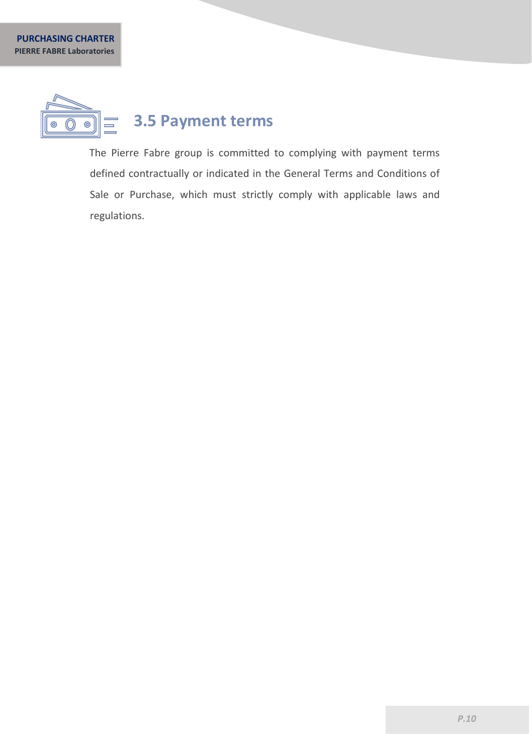

The Pierre Fabre group is committed to complying with payment terms defined contractually or indicated in the General Terms and Conditions of Sale or Purchase, which must strictly comply with applicable laws and regulations.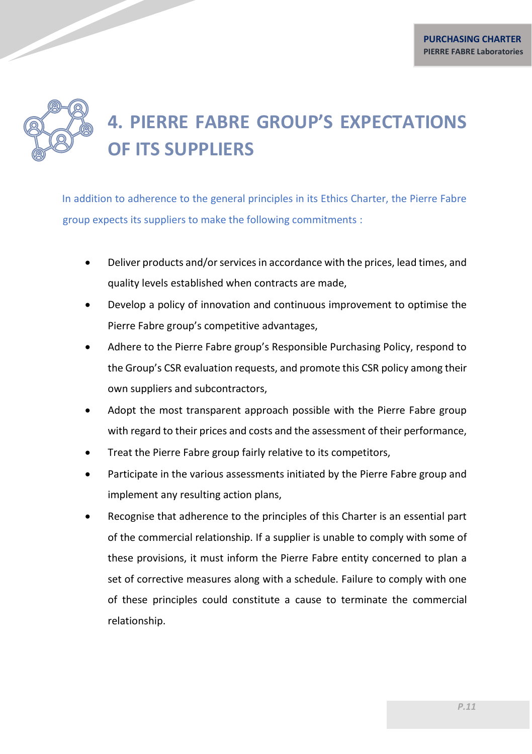## **4. PIERRE FABRE GROUP'S EXPECTATIONS OF ITS SUPPLIERS**

In addition to adherence to the general principles in its Ethics Charter, the Pierre Fabre group expects its suppliers to make the following commitments :

- Deliver products and/or services in accordance with the prices, lead times, and quality levels established when contracts are made,
- Develop a policy of innovation and continuous improvement to optimise the Pierre Fabre group's competitive advantages,
- Adhere to the Pierre Fabre group's Responsible Purchasing Policy, respond to the Group's CSR evaluation requests, and promote this CSR policy among their own suppliers and subcontractors,
- Adopt the most transparent approach possible with the Pierre Fabre group with regard to their prices and costs and the assessment of their performance,
- Treat the Pierre Fabre group fairly relative to its competitors,
- Participate in the various assessments initiated by the Pierre Fabre group and implement any resulting action plans,
- Recognise that adherence to the principles of this Charter is an essential part of the commercial relationship. If a supplier is unable to comply with some of these provisions, it must inform the Pierre Fabre entity concerned to plan a set of corrective measures along with a schedule. Failure to comply with one of these principles could constitute a cause to terminate the commercial relationship.